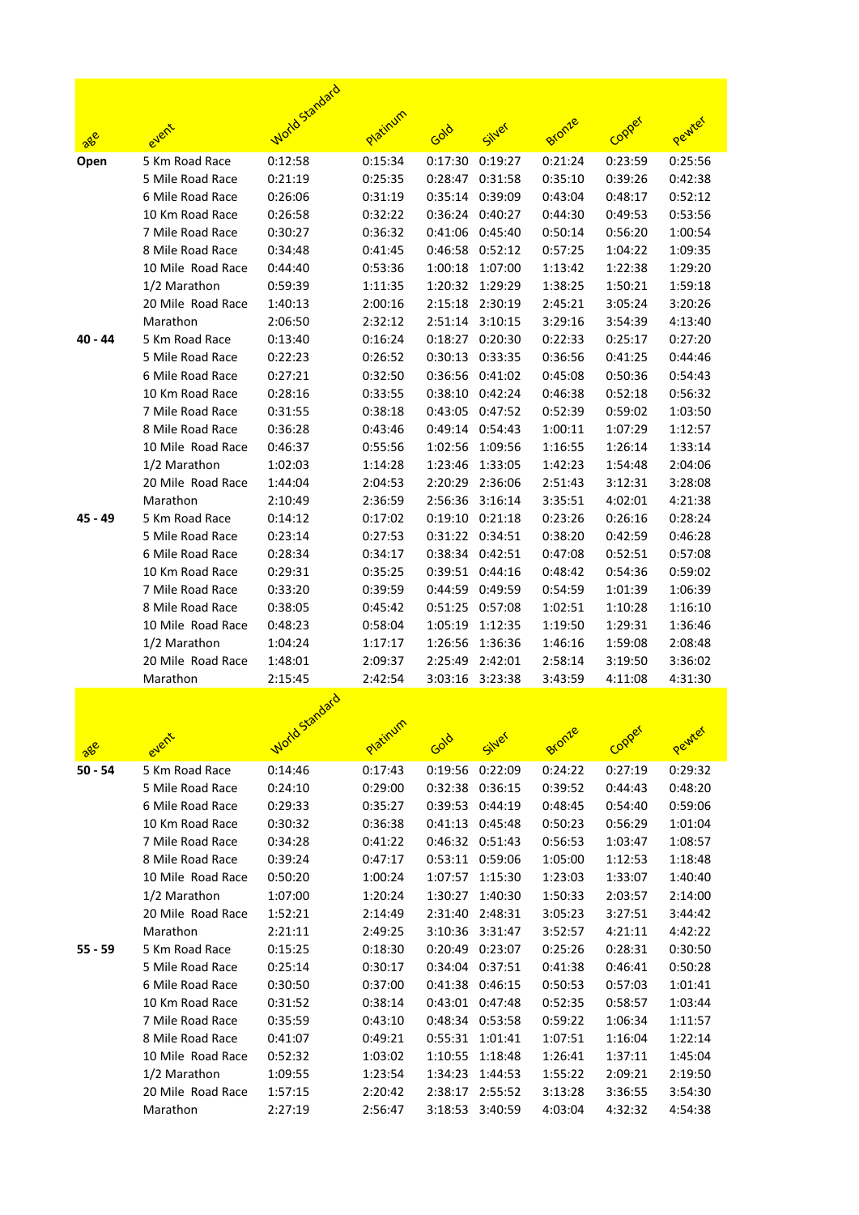|           |                                       | world Stardard     |                    |                    |                    |                    |                    |                    |
|-----------|---------------------------------------|--------------------|--------------------|--------------------|--------------------|--------------------|--------------------|--------------------|
| Open      | 5 Km Road Race                        | 0:12:58            | 0:15:34            | 0:17:30            | 0:19:27            | 0:21:24            | 0:23:59            | 0:25:56            |
|           | 5 Mile Road Race                      | 0:21:19            | 0:25:35            | 0:28:47            | 0:31:58            | 0:35:10            | 0:39:26            | 0:42:38            |
|           | 6 Mile Road Race                      | 0:26:06            | 0:31:19            | 0:35:14            | 0:39:09            | 0:43:04            | 0:48:17            | 0:52:12            |
|           | 10 Km Road Race                       | 0:26:58            | 0:32:22            | 0:36:24            | 0:40:27            | 0:44:30            | 0:49:53            | 0:53:56            |
|           | 7 Mile Road Race                      | 0:30:27            | 0:36:32            | 0:41:06            | 0:45:40            | 0:50:14            | 0:56:20            | 1:00:54            |
|           | 8 Mile Road Race                      | 0:34:48            | 0:41:45            | 0:46:58            | 0:52:12            | 0:57:25            | 1:04:22            | 1:09:35            |
|           | 10 Mile Road Race                     | 0:44:40            | 0:53:36            | 1:00:18            | 1:07:00            | 1:13:42            | 1:22:38            | 1:29:20            |
|           | 1/2 Marathon                          | 0:59:39            | 1:11:35            | 1:20:32            | 1:29:29            | 1:38:25            | 1:50:21            | 1:59:18            |
|           | 20 Mile Road Race                     | 1:40:13            | 2:00:16            | 2:15:18            | 2:30:19            | 2:45:21            | 3:05:24            | 3:20:26            |
|           | Marathon                              | 2:06:50            | 2:32:12            | 2:51:14            | 3:10:15            | 3:29:16            | 3:54:39            | 4:13:40            |
| 40 - 44   | 5 Km Road Race                        | 0:13:40            | 0:16:24            | 0:18:27            | 0:20:30            | 0:22:33            | 0:25:17            | 0:27:20            |
|           | 5 Mile Road Race                      | 0:22:23            | 0:26:52            | 0:30:13            | 0:33:35            | 0:36:56            | 0:41:25            | 0:44:46            |
|           | 6 Mile Road Race                      | 0:27:21            | 0:32:50            | 0:36:56            | 0:41:02            | 0:45:08            | 0:50:36            | 0:54:43            |
|           | 10 Km Road Race                       | 0:28:16            | 0:33:55            | 0:38:10            | 0:42:24            | 0:46:38            | 0:52:18            | 0:56:32            |
|           | 7 Mile Road Race                      | 0:31:55            | 0:38:18            | 0:43:05            | 0:47:52            | 0:52:39            | 0:59:02            | 1:03:50            |
|           | 8 Mile Road Race                      | 0:36:28            | 0:43:46            | 0:49:14            | 0:54:43            | 1:00:11            | 1:07:29            | 1:12:57            |
|           | 10 Mile Road Race                     | 0:46:37            | 0:55:56            | 1:02:56            | 1:09:56            | 1:16:55            | 1:26:14            | 1:33:14            |
|           | 1/2 Marathon                          | 1:02:03            | 1:14:28            | 1:23:46            | 1:33:05            | 1:42:23            | 1:54:48            | 2:04:06            |
|           | 20 Mile Road Race                     | 1:44:04            | 2:04:53            | 2:20:29            | 2:36:06            | 2:51:43            | 3:12:31            | 3:28:08            |
|           | Marathon                              | 2:10:49            | 2:36:59            | 2:56:36            | 3:16:14            | 3:35:51            | 4:02:01            | 4:21:38            |
| 45 - 49   | 5 Km Road Race                        | 0:14:12            | 0:17:02            | 0:19:10            | 0:21:18            | 0:23:26            | 0:26:16            | 0:28:24            |
|           | 5 Mile Road Race                      | 0:23:14            | 0:27:53            |                    | 0:31:22 0:34:51    | 0:38:20            | 0:42:59            | 0:46:28            |
|           | 6 Mile Road Race                      | 0:28:34            | 0:34:17            | 0:38:34            | 0:42:51            | 0:47:08            | 0:52:51            | 0:57:08            |
|           | 10 Km Road Race                       | 0:29:31            | 0:35:25            | 0:39:51            | 0:44:16            | 0:48:42            | 0:54:36            | 0:59:02            |
|           | 7 Mile Road Race                      | 0:33:20            | 0:39:59            | 0:44:59            | 0:49:59            | 0:54:59            | 1:01:39            | 1:06:39<br>1:16:10 |
|           | 8 Mile Road Race<br>10 Mile Road Race | 0:38:05<br>0:48:23 | 0:45:42<br>0:58:04 | 0:51:25<br>1:05:19 | 0:57:08<br>1:12:35 | 1:02:51<br>1:19:50 | 1:10:28<br>1:29:31 | 1:36:46            |
|           | 1/2 Marathon                          | 1:04:24            | 1:17:17            | 1:26:56            | 1:36:36            | 1:46:16            | 1:59:08            | 2:08:48            |
|           | 20 Mile Road Race                     | 1:48:01            | 2:09:37            | 2:25:49            | 2:42:01            | 2:58:14            | 3:19:50            | 3:36:02            |
|           | Marathon                              | 2:15:45            | 2:42:54            | 3:03:16            | 3:23:38            | 3:43:59            | 4:11:08            | 4:31:30            |
|           |                                       |                    |                    |                    |                    |                    |                    |                    |
|           |                                       |                    |                    |                    |                    |                    |                    |                    |
| age       |                                       | World              | Platini            | Gold               | Silver             | Bronze             | Copp               | Pewre              |
| $50 - 54$ | 5 Km Road Race                        | 0:14:46            | 0:17:43            | 0:19:56            | 0:22:09            | 0:24:22            | 0:27:19            | 0:29:32            |
|           | 5 Mile Road Race                      | 0:24:10            | 0:29:00            | 0:32:38            | 0:36:15            | 0:39:52            | 0:44:43            | 0:48:20            |
|           | 6 Mile Road Race                      | 0:29:33            | 0:35:27            | 0:39:53            | 0:44:19            | 0:48:45            | 0:54:40            | 0:59:06            |
|           | 10 Km Road Race                       | 0:30:32            | 0:36:38            | 0:41:13            | 0:45:48            | 0:50:23            | 0:56:29            | 1:01:04            |
|           | 7 Mile Road Race                      | 0:34:28            | 0:41:22            | 0:46:32            | 0:51:43            | 0:56:53            | 1:03:47            | 1:08:57            |
|           | 8 Mile Road Race                      | 0:39:24            | 0:47:17            | 0:53:11            | 0:59:06            | 1:05:00            | 1:12:53            | 1:18:48            |
|           | 10 Mile Road Race                     | 0:50:20            | 1:00:24            | 1:07:57            | 1:15:30            | 1:23:03            | 1:33:07            | 1:40:40            |
|           | 1/2 Marathon                          | 1:07:00            | 1:20:24            | 1:30:27            | 1:40:30            | 1:50:33            | 2:03:57            | 2:14:00            |
|           | 20 Mile Road Race                     | 1:52:21            | 2:14:49            | 2:31:40            | 2:48:31            | 3:05:23            | 3:27:51            | 3:44:42            |
|           | Marathon                              | 2:21:11            | 2:49:25            |                    | 3:10:36 3:31:47    | 3:52:57            | 4:21:11            | 4:42:22            |
| $55 - 59$ | 5 Km Road Race                        | 0:15:25            | 0:18:30            | 0:20:49            | 0:23:07            | 0:25:26            | 0:28:31            | 0:30:50            |
|           | 5 Mile Road Race                      | 0:25:14            | 0:30:17            | 0:34:04            | 0:37:51            | 0:41:38            | 0:46:41            | 0:50:28            |
|           | 6 Mile Road Race                      | 0:30:50            | 0:37:00            |                    | 0:41:38 0:46:15    | 0:50:53            | 0:57:03            | 1:01:41            |
|           | 10 Km Road Race                       | 0:31:52            | 0:38:14            |                    | 0:43:01 0:47:48    | 0:52:35            | 0:58:57            | 1:03:44            |
|           | 7 Mile Road Race                      | 0:35:59            | 0:43:10            |                    | 0:48:34 0:53:58    | 0:59:22            | 1:06:34            | 1:11:57            |
|           | 8 Mile Road Race                      | 0:41:07            | 0:49:21            | 0:55:31            | 1:01:41            | 1:07:51            | 1:16:04            | 1:22:14            |
|           | 10 Mile Road Race                     | 0:52:32            | 1:03:02            | 1:10:55            | 1:18:48            | 1:26:41            | 1:37:11            | 1:45:04            |
|           | 1/2 Marathon                          | 1:09:55            | 1:23:54            | 1:34:23            | 1:44:53            | 1:55:22            | 2:09:21            | 2:19:50            |
|           | 20 Mile Road Race                     | 1:57:15            | 2:20:42            | 2:38:17            | 2:55:52            | 3:13:28            | 3:36:55            | 3:54:30            |
|           | Marathon                              | 2:27:19            | 2:56:47            | 3:18:53            | 3:40:59            | 4:03:04            | 4:32:32            | 4:54:38            |